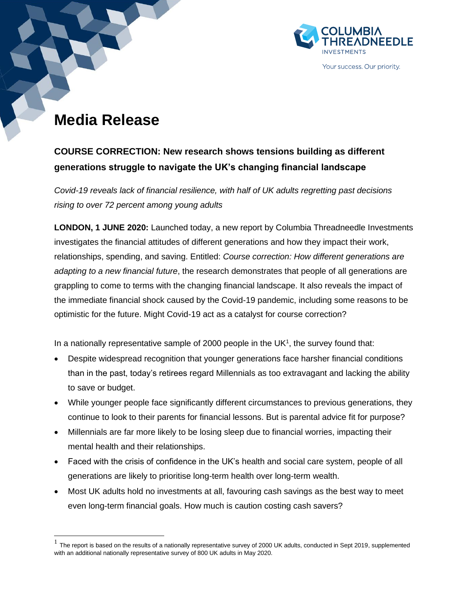

#### Your success. Our priority.

# **Media Release**

# **COURSE CORRECTION: New research shows tensions building as different generations struggle to navigate the UK's changing financial landscape**

*Covid-19 reveals lack of financial resilience, with half of UK adults regretting past decisions rising to over 72 percent among young adults*

**LONDON, 1 JUNE 2020:** Launched today, a new report by Columbia Threadneedle Investments investigates the financial attitudes of different generations and how they impact their work, relationships, spending, and saving. Entitled: *Course correction: How different generations are adapting to a new financial future*, the research demonstrates that people of all generations are grappling to come to terms with the changing financial landscape. It also reveals the impact of the immediate financial shock caused by the Covid-19 pandemic, including some reasons to be optimistic for the future. Might Covid-19 act as a catalyst for course correction?

In a nationally representative sample of 2000 people in the UK $<sup>1</sup>$ , the survey found that:</sup>

- Despite widespread recognition that younger generations face harsher financial conditions than in the past, today's retirees regard Millennials as too extravagant and lacking the ability to save or budget.
- While younger people face significantly different circumstances to previous generations, they continue to look to their parents for financial lessons. But is parental advice fit for purpose?
- Millennials are far more likely to be losing sleep due to financial worries, impacting their mental health and their relationships.
- Faced with the crisis of confidence in the UK's health and social care system, people of all generations are likely to prioritise long-term health over long-term wealth.
- Most UK adults hold no investments at all, favouring cash savings as the best way to meet even long-term financial goals. How much is caution costing cash savers?

 $<sup>1</sup>$  The report is based on the results of a nationally representative survey of 2000 UK adults, conducted in Sept 2019, supplemented</sup> with an additional nationally representative survey of 800 UK adults in May 2020.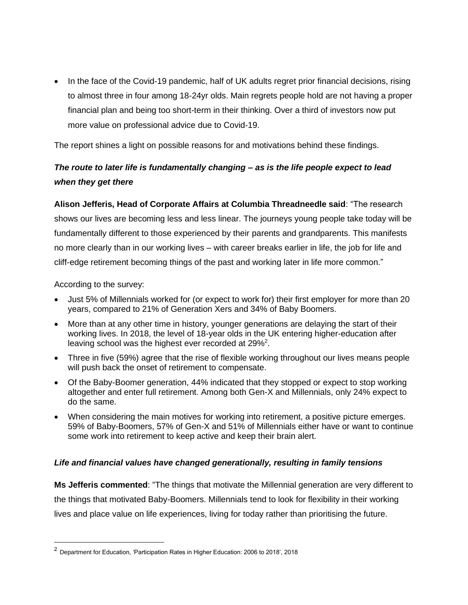• In the face of the Covid-19 pandemic, half of UK adults regret prior financial decisions, rising to almost three in four among 18-24yr olds. Main regrets people hold are not having a proper financial plan and being too short-term in their thinking. Over a third of investors now put more value on professional advice due to Covid-19.

The report shines a light on possible reasons for and motivations behind these findings.

# *The route to later life is fundamentally changing – as is the life people expect to lead when they get there*

**Alison Jefferis, Head of Corporate Affairs at Columbia Threadneedle said**: "The research shows our lives are becoming less and less linear. The journeys young people take today will be fundamentally different to those experienced by their parents and grandparents. This manifests no more clearly than in our working lives – with career breaks earlier in life, the job for life and cliff-edge retirement becoming things of the past and working later in life more common."

According to the survey:

- Just 5% of Millennials worked for (or expect to work for) their first employer for more than 20 years, compared to 21% of Generation Xers and 34% of Baby Boomers.
- More than at any other time in history, younger generations are delaying the start of their working lives. In 2018, the level of 18-year olds in the UK entering higher-education after leaving school was the highest ever recorded at 29%<sup>2</sup>.
- Three in five (59%) agree that the rise of flexible working throughout our lives means people will push back the onset of retirement to compensate.
- Of the Baby-Boomer generation, 44% indicated that they stopped or expect to stop working altogether and enter full retirement. Among both Gen-X and Millennials, only 24% expect to do the same.
- When considering the main motives for working into retirement, a positive picture emerges. 59% of Baby-Boomers, 57% of Gen-X and 51% of Millennials either have or want to continue some work into retirement to keep active and keep their brain alert.

# *Life and financial values have changed generationally, resulting in family tensions*

**Ms Jefferis commented**: "The things that motivate the Millennial generation are very different to the things that motivated Baby-Boomers. Millennials tend to look for flexibility in their working lives and place value on life experiences, living for today rather than prioritising the future.

<sup>2</sup> Department for Education, 'Participation Rates in Higher Education: 2006 to 2018', 2018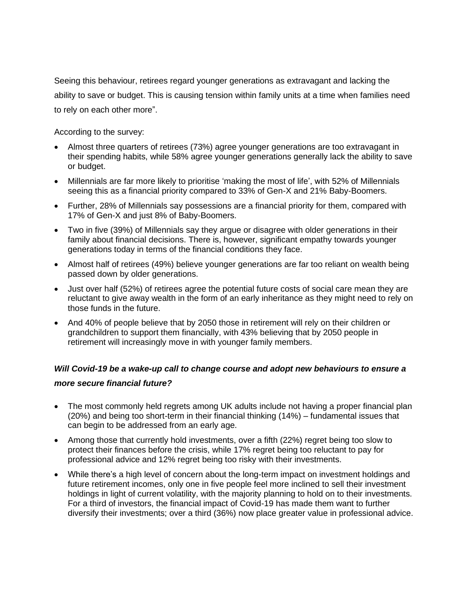Seeing this behaviour, retirees regard younger generations as extravagant and lacking the ability to save or budget. This is causing tension within family units at a time when families need to rely on each other more".

According to the survey:

- Almost three quarters of retirees (73%) agree younger generations are too extravagant in their spending habits, while 58% agree younger generations generally lack the ability to save or budget.
- Millennials are far more likely to prioritise 'making the most of life', with 52% of Millennials seeing this as a financial priority compared to 33% of Gen-X and 21% Baby-Boomers.
- Further, 28% of Millennials say possessions are a financial priority for them, compared with 17% of Gen-X and just 8% of Baby-Boomers.
- Two in five (39%) of Millennials say they argue or disagree with older generations in their family about financial decisions. There is, however, significant empathy towards younger generations today in terms of the financial conditions they face.
- Almost half of retirees (49%) believe younger generations are far too reliant on wealth being passed down by older generations.
- Just over half (52%) of retirees agree the potential future costs of social care mean they are reluctant to give away wealth in the form of an early inheritance as they might need to rely on those funds in the future.
- And 40% of people believe that by 2050 those in retirement will rely on their children or grandchildren to support them financially, with 43% believing that by 2050 people in retirement will increasingly move in with younger family members.

# *Will Covid-19 be a wake-up call to change course and adopt new behaviours to ensure a*

# *more secure financial future?*

- The most commonly held regrets among UK adults include not having a proper financial plan (20%) and being too short-term in their financial thinking (14%) – fundamental issues that can begin to be addressed from an early age.
- Among those that currently hold investments, over a fifth (22%) regret being too slow to protect their finances before the crisis, while 17% regret being too reluctant to pay for professional advice and 12% regret being too risky with their investments.
- While there's a high level of concern about the long-term impact on investment holdings and future retirement incomes, only one in five people feel more inclined to sell their investment holdings in light of current volatility, with the majority planning to hold on to their investments. For a third of investors, the financial impact of Covid-19 has made them want to further diversify their investments; over a third (36%) now place greater value in professional advice.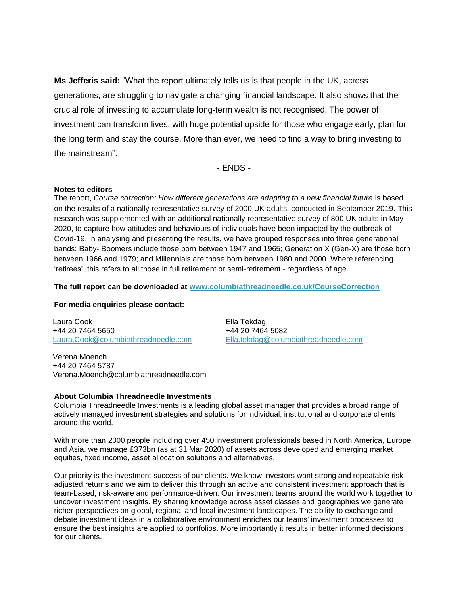**Ms Jefferis said:** "What the report ultimately tells us is that people in the UK, across generations, are struggling to navigate a changing financial landscape. It also shows that the crucial role of investing to accumulate long-term wealth is not recognised. The power of investment can transform lives, with huge potential upside for those who engage early, plan for the long term and stay the course. More than ever, we need to find a way to bring investing to the mainstream".

- ENDS -

### **Notes to editors**

The report, *Course correction: How different generations are adapting to a new financial future* is based on the results of a nationally representative survey of 2000 UK adults, conducted in September 2019. This research was supplemented with an additional nationally representative survey of 800 UK adults in May 2020, to capture how attitudes and behaviours of individuals have been impacted by the outbreak of Covid-19. In analysing and presenting the results, we have grouped responses into three generational bands: Baby- Boomers include those born between 1947 and 1965; Generation X (Gen-X) are those born between 1966 and 1979; and Millennials are those born between 1980 and 2000. Where referencing 'retirees', this refers to all those in full retirement or semi-retirement - regardless of age.

## **The full report can be downloaded at [www.columbiathreadneedle.co.uk/CourseCorrection](http://www.columbiathreadneedle.co.uk/CourseCorrection)**

## **For media enquiries please contact:**

Laura Cook +44 20 7464 5650 [Laura.Cook@columbiathreadneedle.com](mailto:Laura.Cook@columbiathreadneedle.com)

Ella Tekdag +44 20 7464 5082 [Ella.tekdag@columbiathreadneedle.com](mailto:Ella.tekdag@columbiathreadneedle.com)

Verena Moench +44 20 7464 5787 Verena.Moench@columbiathreadneedle.com

#### **About Columbia Threadneedle Investments**

Columbia Threadneedle Investments is a leading global asset manager that provides a broad range of actively managed investment strategies and solutions for individual, institutional and corporate clients around the world.

With more than 2000 people including over 450 investment professionals based in North America, Europe and Asia, we manage £373bn (as at 31 Mar 2020) of assets across developed and emerging market equities, fixed income, asset allocation solutions and alternatives.

Our priority is the investment success of our clients. We know investors want strong and repeatable riskadjusted returns and we aim to deliver this through an active and consistent investment approach that is team-based, risk-aware and performance-driven. Our investment teams around the world work together to uncover investment insights. By sharing knowledge across asset classes and geographies we generate richer perspectives on global, regional and local investment landscapes. The ability to exchange and debate investment ideas in a collaborative environment enriches our teams' investment processes to ensure the best insights are applied to portfolios. More importantly it results in better informed decisions for our clients.